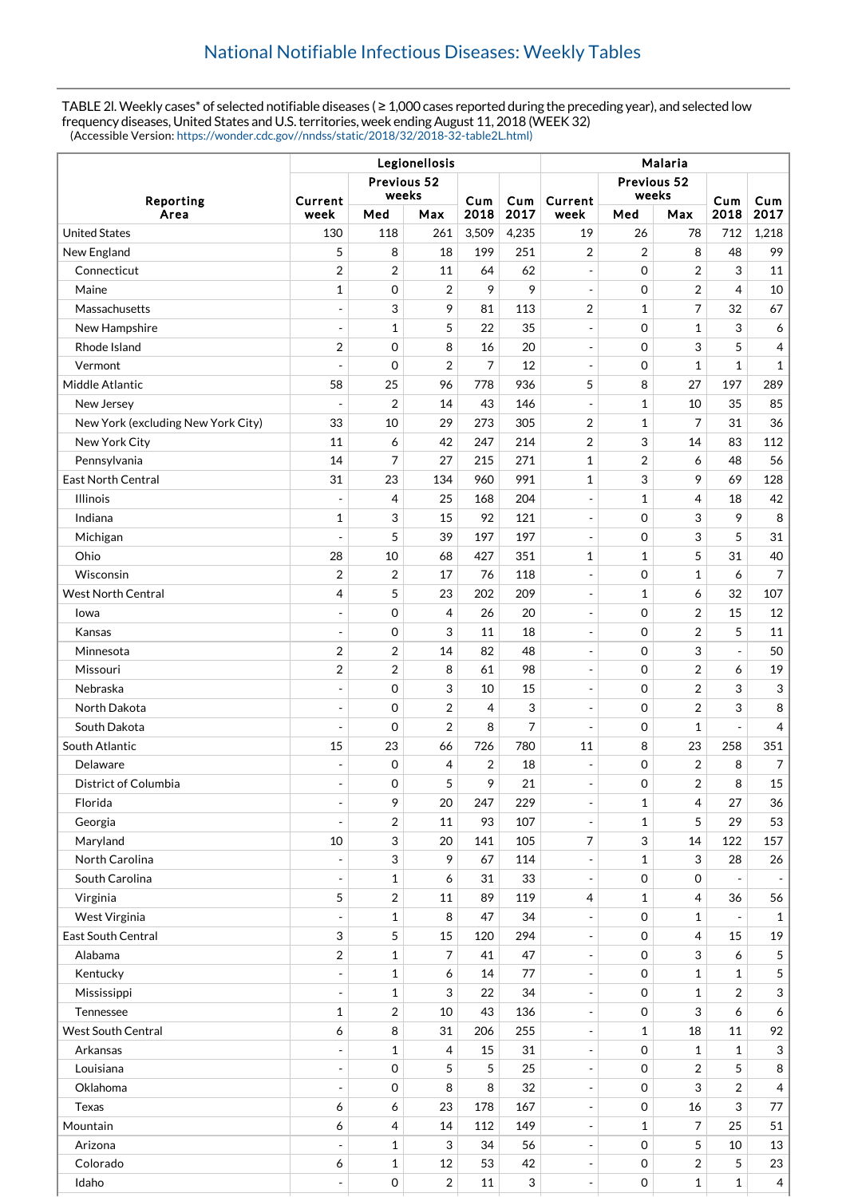TABLE 2l. Weekly cases\* of selected notifiable diseases ( ≥ 1,000 cases reported during the preceding year), and selected low frequency diseases, United States and U.S. territories, week ending August 11, 2018 (WEEK 32) (Accessible Version: [https://wonder.cdc.gov//nndss/static/2018/32/2018-32-table2L.html\)](https://wonder.cdc.gov//nndss/static/2018/32/2018-32-table2L.html)

|                                    | Legionellosis                   |                                |                |                |                           | Malaria                                              |                             |                |                |                |  |
|------------------------------------|---------------------------------|--------------------------------|----------------|----------------|---------------------------|------------------------------------------------------|-----------------------------|----------------|----------------|----------------|--|
| Reporting                          | Previous 52<br>weeks<br>Current |                                |                | Cum            | Cum                       | Current                                              | Previous 52<br>weeks        |                | Cum            | Cum            |  |
| Area                               | week                            | Med                            | Max            | 2018           | 2017                      | week                                                 | Med                         | Max            | 2018           | 2017           |  |
| <b>United States</b>               | 130                             | 118                            | 261            | 3,509          | 4,235                     | 19                                                   | 26                          | 78             | 712            | 1,218          |  |
| New England                        | 5                               | 8                              | 18             | 199            | 251                       | $\overline{2}$                                       | $\overline{2}$              | 8              | 48             | 99             |  |
| Connecticut                        | $\overline{2}$                  | $\overline{2}$                 | 11             | 64             | 62                        | $\overline{a}$                                       | 0                           | $\overline{2}$ | 3              | 11             |  |
| Maine                              | 1                               | 0                              | $\overline{2}$ | 9              | 9                         | $\overline{a}$                                       | $\mathbf 0$                 | $\overline{2}$ | 4              | 10             |  |
| Massachusetts                      | $\qquad \qquad \blacksquare$    | 3                              | 9              | 81             | 113                       | $\overline{2}$                                       | $\mathbf{1}$                | 7              | 32             | 67             |  |
| New Hampshire                      | $\overline{a}$                  | $\mathbf{1}$                   | 5              | 22             | 35                        | $\blacksquare$                                       | $\mathbf 0$                 | $\mathbf{1}$   | 3              | 6              |  |
| Rhode Island                       | $\overline{2}$                  | $\mathbf 0$                    | 8              | 16             | 20                        | $\overline{a}$                                       | 0                           | 3              | 5              | 4              |  |
| Vermont                            |                                 | $\mathbf 0$                    | $\overline{2}$ | $\overline{7}$ | 12                        | $\overline{a}$                                       | $\mathbf 0$                 | $\mathbf{1}$   | $\mathbf{1}$   | $\mathbf 1$    |  |
| Middle Atlantic                    | 58                              | 25                             | 96             | 778            | 936                       | 5                                                    | 8                           | 27             | 197            | 289            |  |
| New Jersey                         |                                 | $\overline{2}$                 | 14             | 43             | 146                       | $\qquad \qquad \blacksquare$                         | $\mathbf{1}$                | 10             | 35             | 85             |  |
| New York (excluding New York City) | 33                              | 10                             | 29             | 273            | 305                       | $\overline{2}$                                       | $\mathbf{1}$                | $\overline{7}$ | 31             | 36             |  |
| New York City                      | 11                              | 6                              | 42             | 247            | 214                       | $\overline{2}$                                       | 3                           | 14             | 83             | 112            |  |
| Pennsylvania                       | 14                              | 7                              | 27             | 215            | 271                       | $\mathbf{1}$                                         | $\overline{2}$              | 6              | 48             | 56             |  |
| <b>East North Central</b>          | 31                              | 23                             | 134            | 960            | 991                       | 1                                                    | 3                           | 9              | 69             | 128            |  |
| <b>Illinois</b>                    | $\overline{a}$                  | 4                              | 25             | 168            | 204                       | $\blacksquare$                                       | $\mathbf{1}$                | 4              | 18             | 42             |  |
| Indiana                            | 1                               | 3                              | 15             | 92             | 121                       | $\overline{\phantom{m}}$                             | $\mathbf 0$                 | 3              | 9              | 8              |  |
| Michigan                           | $\overline{a}$                  | 5                              | 39             | 197            | 197                       | $\overline{a}$                                       | $\mathbf 0$                 | 3              | 5              | 31             |  |
| Ohio                               | 28                              | 10                             | 68             | 427            | 351                       | $\mathbf{1}$                                         | $\mathbf{1}$                | 5              | 31             | 40             |  |
| Wisconsin                          | 2                               | $\overline{2}$                 | 17             | 76             | 118                       | $\blacksquare$                                       | $\mathbf 0$                 | $\mathbf{1}$   | 6              | 7              |  |
| <b>West North Central</b>          | 4                               | 5                              | 23             | 202            | 209                       | $\overline{a}$                                       | $\mathbf{1}$                | 6              | 32             | 107            |  |
| Iowa                               | $\overline{\phantom{a}}$        | 0                              | 4              | 26             | 20                        | $\overline{\phantom{a}}$                             | 0                           | $\overline{2}$ | 15             | 12             |  |
| Kansas                             | $\overline{a}$                  | 0                              | 3              | 11             | 18                        | $\overline{\phantom{a}}$                             | $\mathbf 0$                 | $\overline{2}$ | 5              | 11             |  |
| Minnesota                          | $\overline{\mathbf{c}}$         | 2                              | 14             | 82             | 48                        | $\overline{\phantom{a}}$                             | $\mathbf 0$                 | 3              | $\overline{a}$ | 50             |  |
| Missouri                           | $\overline{2}$                  | $\overline{2}$                 | 8              | 61             | 98                        | $\overline{\phantom{a}}$                             | 0                           | $\overline{2}$ | 6              | 19             |  |
| Nebraska                           | $\overline{\phantom{a}}$        | 0                              | 3              | 10             | 15                        | $\overline{\phantom{a}}$                             | $\mathbf 0$                 | 2              | 3              | 3              |  |
| North Dakota                       | $\overline{a}$                  | 0                              | $\overline{2}$ | $\overline{4}$ | 3                         | $\overline{a}$                                       | 0                           | $\overline{2}$ | 3              | 8              |  |
| South Dakota                       | $\overline{a}$                  | 0                              | $\overline{2}$ | 8              | $\overline{7}$            | $\overline{a}$                                       | 0                           | 1              |                | 4              |  |
| South Atlantic                     | 15                              | 23                             | 66             | 726            | 780                       | 11                                                   | 8                           | 23             | 258            | 351            |  |
| Delaware                           | $\overline{a}$                  | 0                              | 4              | 2              | 18                        | $\overline{a}$                                       | 0                           | $\overline{2}$ | 8              | 7              |  |
| District of Columbia               | $\overline{\phantom{a}}$        | $\mathbf 0$                    | 5              | 9              | 21                        | $\overline{\phantom{a}}$                             | $\mathbf 0$                 | $\overline{2}$ | 8              | 15             |  |
| Florida                            | ÷                               | 9                              | 20             | 247            | 229                       | ÷                                                    | $\mathbf{1}$                | 4              | 27             | 36             |  |
| Georgia                            | $\overline{\phantom{a}}$        | $\overline{2}$                 | 11             | 93             | 107                       | $\qquad \qquad -$                                    | $\mathbf{1}$                | 5              | 29             | 53             |  |
| Maryland                           | 10                              | 3                              | 20             | 141            | 105                       | 7                                                    | 3                           | 14             | 122            | 157            |  |
| North Carolina                     |                                 | 3                              | 9              | 67             | 114                       | $\qquad \qquad -$                                    | $\mathbf{1}$                | $\sqrt{3}$     | 28             | 26             |  |
| South Carolina                     | $\overline{a}$                  | $\mathbf{1}$                   | 6              | 31             | 33                        | $\overline{\phantom{a}}$                             | $\mathsf{O}\xspace$         | $\mathbf 0$    | $\blacksquare$ |                |  |
| Virginia                           | 5                               | $\sqrt{2}$                     | 11             | 89             | 119                       | 4                                                    | $\mathbf{1}$                | 4              | 36             | 56             |  |
| West Virginia                      | $\blacksquare$                  | $\mathbf{1}$                   | 8              | 47             | 34                        | $\overline{a}$                                       | $\mathbf 0$                 | 1              | $\blacksquare$ | $\mathbf{1}$   |  |
| East South Central                 | 3                               | 5                              | 15             | 120            | 294                       | $\overline{\phantom{a}}$                             | $\mathsf{O}\xspace$         | 4              | 15             | 19             |  |
| Alabama                            | $\overline{2}$                  | $\mathbf{1}$                   | 7              | 41             | 47                        | $\overline{\phantom{a}}$                             | $\mathsf{O}\xspace$         | 3              | 6              | 5              |  |
| Kentucky                           | ÷                               | $\mathbf{1}$                   | 6              | 14             | 77                        | ÷                                                    | $\mathbf 0$                 | 1              | $\mathbf{1}$   | 5              |  |
| Mississippi                        | $\overline{a}$                  | 1                              | 3              | 22             | 34                        | $\overline{\phantom{a}}$                             | 0                           | $\mathbf{1}$   | $\overline{2}$ | $\sqrt{3}$     |  |
| Tennessee                          | 1                               | $\sqrt{2}$                     | 10             | 43             | 136                       | $\overline{\phantom{a}}$                             | $\mathsf{O}\xspace$         | 3              | 6              | 6              |  |
| <b>West South Central</b>          | 6                               | 8                              | 31             | 206            | 255                       | $\qquad \qquad -$                                    | $\mathbf{1}$                | 18             | 11             | 92             |  |
| Arkansas                           | $\overline{\phantom{0}}$        | $\mathbf{1}$                   | 4              | 15             | 31                        | ÷                                                    | $\mathsf{O}\xspace$         | $\mathbf 1$    | $\mathbf{1}$   | 3              |  |
| Louisiana                          | $\blacksquare$                  | 0                              | 5              | 5              | 25                        |                                                      | 0                           | $\overline{2}$ | 5              | $\, 8$         |  |
| Oklahoma                           | $\overline{\phantom{a}}$        | 0                              | 8              | 8              | 32                        | $\qquad \qquad -$<br>$\overline{\phantom{a}}$        | 0                           | 3              | $\overline{2}$ | $\overline{4}$ |  |
| Texas                              | 6                               | 6                              | 23             | 178            | 167                       |                                                      | 0                           | 16             | 3              | 77             |  |
| Mountain                           | 6                               |                                | 14             | 112            | 149                       | $\overline{\phantom{m}}$<br>$\overline{\phantom{a}}$ |                             | $\overline{7}$ | 25             | 51             |  |
| Arizona                            | $\blacksquare$                  | $\overline{4}$<br>$\mathbf{1}$ | 3              | 34             | 56                        |                                                      | $\mathbf{1}$<br>$\mathbf 0$ | 5              | 10             | 13             |  |
| Colorado                           |                                 |                                | 12             | 53             | 42                        | $\overline{\phantom{m}}$                             | 0                           |                | 5              | 23             |  |
|                                    | 6<br>$\overline{\phantom{a}}$   | $\mathbf{1}$                   | $\overline{c}$ | 11             | $\ensuremath{\mathsf{3}}$ | $\qquad \qquad \blacksquare$                         | $\mathsf{O}\xspace$         | 2              |                | $\overline{4}$ |  |
| Idaho                              |                                 | 0                              |                |                |                           | $\overline{\phantom{a}}$                             |                             | $\mathbf 1$    | $\mathbf{1}$   |                |  |